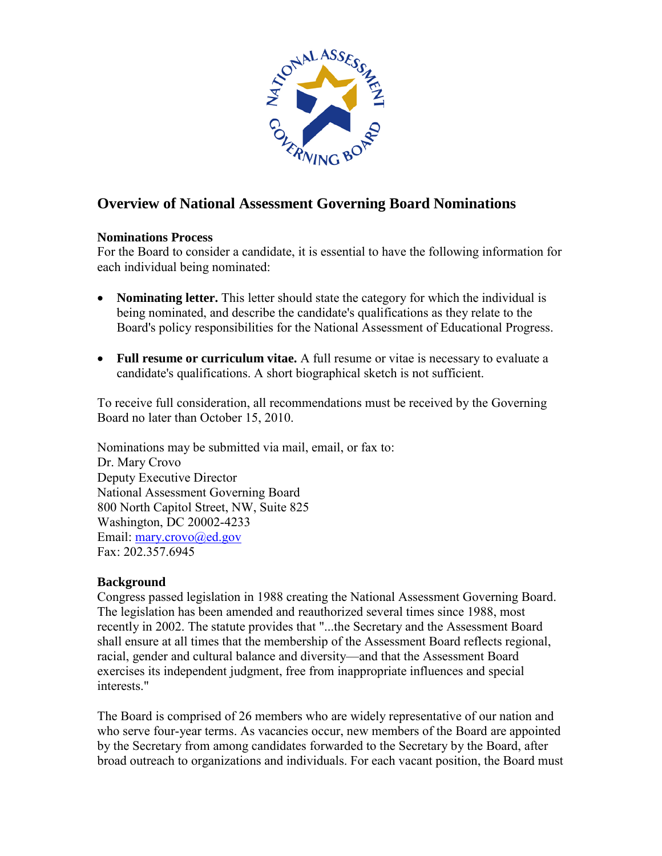

# **Overview of National Assessment Governing Board Nominations**

#### **Nominations Process**

For the Board to consider a candidate, it is essential to have the following information for each individual being nominated:

- **Nominating letter.** This letter should state the category for which the individual is being nominated, and describe the candidate's qualifications as they relate to the Board's policy responsibilities for the National Assessment of Educational Progress.
- **Full resume or curriculum vitae.** A full resume or vitae is necessary to evaluate a candidate's qualifications. A short biographical sketch is not sufficient.

To receive full consideration, all recommendations must be received by the Governing Board no later than October 15, 2010.

Nominations may be submitted via mail, email, or fax to: Dr. Mary Crovo Deputy Executive Director National Assessment Governing Board 800 North Capitol Street, NW, Suite 825 Washington, DC 20002-4233 Email: [mary.crovo@ed.gov](mailto:mary.crovo@ed.gov) Fax: 202.357.6945

### **Background**

Congress passed legislation in 1988 creating the National Assessment Governing Board. The legislation has been amended and reauthorized several times since 1988, most recently in 2002. The statute provides that "...the Secretary and the Assessment Board shall ensure at all times that the membership of the Assessment Board reflects regional, racial, gender and cultural balance and diversity—and that the Assessment Board exercises its independent judgment, free from inappropriate influences and special interests."

The Board is comprised of 26 members who are widely representative of our nation and who serve four-year terms. As vacancies occur, new members of the Board are appointed by the Secretary from among candidates forwarded to the Secretary by the Board, after broad outreach to organizations and individuals. For each vacant position, the Board must